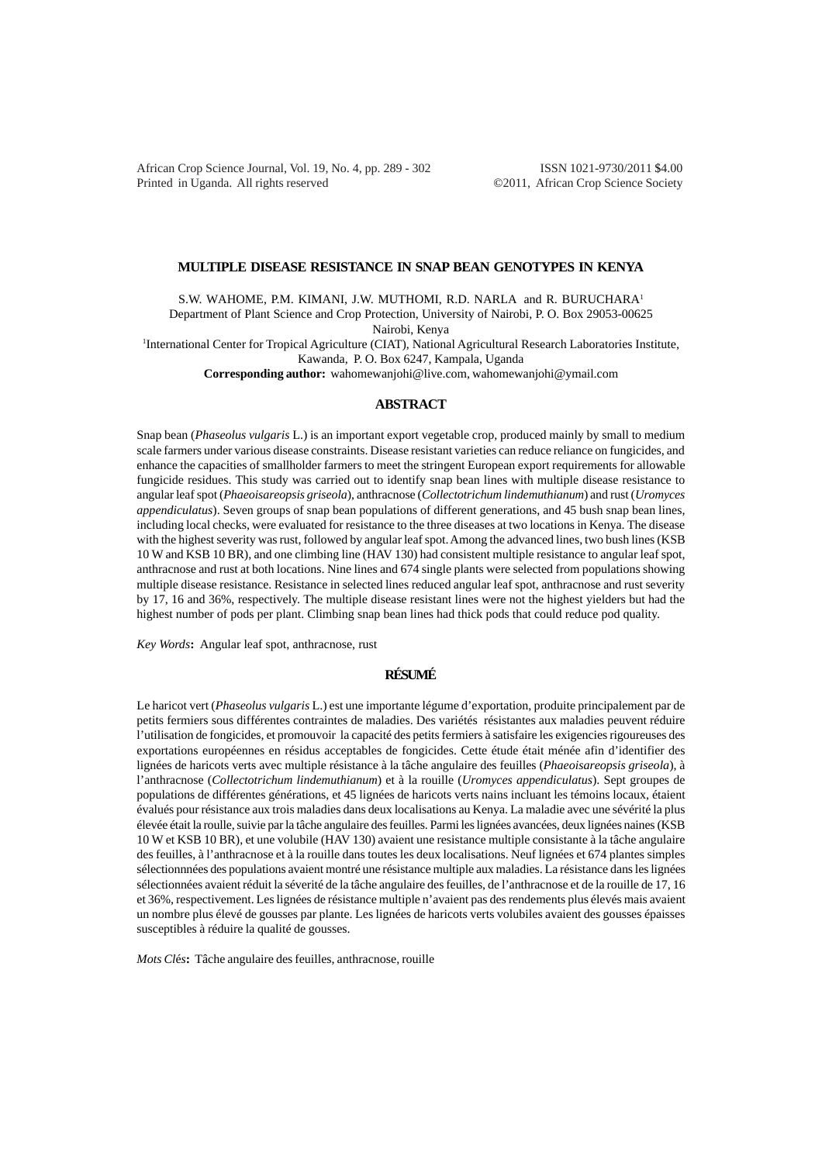African Crop Science Journal, Vol. 19, No. 4, pp. 289 - 302 ISSN 1021-9730/2011 \$4.00 Printed in Uganda. All rights reserved ©2011, African Crop Science Society

## **MULTIPLE DISEASE RESISTANCE IN SNAP BEAN GENOTYPES IN KENYA**

S.W. WAHOME, P.M. KIMANI, J.W. MUTHOMI, R.D. NARLA and R. BURUCHARA<sup>1</sup> Department of Plant Science and Crop Protection, University of Nairobi, P. O. Box 29053-00625 Nairobi, Kenya 1 International Center for Tropical Agriculture (CIAT), National Agricultural Research Laboratories Institute, Kawanda, P. O. Box 6247, Kampala, Uganda **Corresponding author:** wahomewanjohi@live.com, wahomewanjohi@ymail.com

# **ABSTRACT**

Snap bean (*Phaseolus vulgaris* L.) is an important export vegetable crop, produced mainly by small to medium scale farmers under various disease constraints. Disease resistant varieties can reduce reliance on fungicides, and enhance the capacities of smallholder farmers to meet the stringent European export requirements for allowable fungicide residues. This study was carried out to identify snap bean lines with multiple disease resistance to angular leaf spot (*Phaeoisareopsis griseola*), anthracnose (*Collectotrichum lindemuthianum*) and rust (*Uromyces appendiculatus*). Seven groups of snap bean populations of different generations, and 45 bush snap bean lines, including local checks, were evaluated for resistance to the three diseases at two locations in Kenya. The disease with the highest severity was rust, followed by angular leaf spot. Among the advanced lines, two bush lines (KSB 10 W and KSB 10 BR), and one climbing line (HAV 130) had consistent multiple resistance to angular leaf spot, anthracnose and rust at both locations. Nine lines and 674 single plants were selected from populations showing multiple disease resistance. Resistance in selected lines reduced angular leaf spot, anthracnose and rust severity by 17, 16 and 36%, respectively. The multiple disease resistant lines were not the highest yielders but had the highest number of pods per plant. Climbing snap bean lines had thick pods that could reduce pod quality.

*Key Words***:** Angular leaf spot, anthracnose, rust

# **RÉSUMÉ**

Le haricot vert (*Phaseolus vulgaris* L.) est une importante légume d'exportation, produite principalement par de petits fermiers sous différentes contraintes de maladies. Des variétés résistantes aux maladies peuvent réduire l'utilisation de fongicides, et promouvoir la capacité des petits fermiers à satisfaire les exigencies rigoureuses des exportations européennes en résidus acceptables de fongicides. Cette étude était ménée afin d'identifier des lignées de haricots verts avec multiple résistance à la tâche angulaire des feuilles (*Phaeoisareopsis griseola*), à l'anthracnose (*Collectotrichum lindemuthianum*) et à la rouille (*Uromyces appendiculatus*). Sept groupes de populations de différentes générations, et 45 lignées de haricots verts nains incluant les témoins locaux, étaient évalués pour résistance aux trois maladies dans deux localisations au Kenya. La maladie avec une sévérité la plus élevée était la roulle, suivie par la tâche angulaire des feuilles. Parmi les lignées avancées, deux lignées naines (KSB 10 W et KSB 10 BR), et une volubile (HAV 130) avaient une resistance multiple consistante à la tâche angulaire des feuilles, à l'anthracnose et à la rouille dans toutes les deux localisations. Neuf lignées et 674 plantes simples sélectionnnées des populations avaient montré une résistance multiple aux maladies. La résistance dans les lignées sélectionnées avaient réduit la séverité de la tâche angulaire des feuilles, de l'anthracnose et de la rouille de 17, 16 et 36%, respectivement. Les lignées de résistance multiple n'avaient pas des rendements plus élevés mais avaient un nombre plus élevé de gousses par plante. Les lignées de haricots verts volubiles avaient des gousses épaisses susceptibles à réduire la qualité de gousses.

*Mots Cl*é*s***:** Tâche angulaire des feuilles, anthracnose, rouille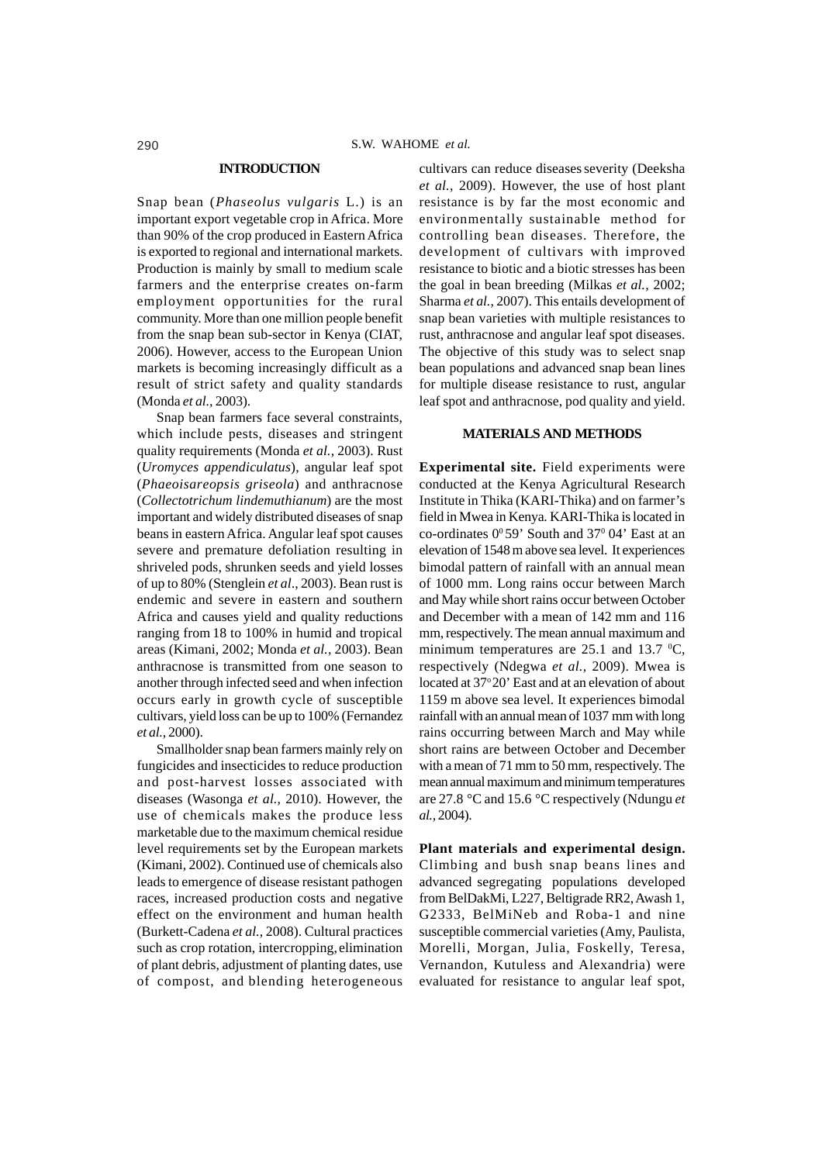### **INTRODUCTION**

Snap bean (*Phaseolus vulgaris* L.) is an important export vegetable crop in Africa. More than 90% of the crop produced in Eastern Africa is exported to regional and international markets. Production is mainly by small to medium scale farmers and the enterprise creates on-farm employment opportunities for the rural community. More than one million people benefit from the snap bean sub-sector in Kenya (CIAT, 2006). However, access to the European Union markets is becoming increasingly difficult as a result of strict safety and quality standards (Monda *et al.,* 2003).

Snap bean farmers face several constraints, which include pests, diseases and stringent quality requirements (Monda *et al.,* 2003). Rust (*Uromyces appendiculatus*), angular leaf spot (*Phaeoisareopsis griseola*) and anthracnose (*Collectotrichum lindemuthianum*) are the most important and widely distributed diseases of snap beans in eastern Africa. Angular leaf spot causes severe and premature defoliation resulting in shriveled pods, shrunken seeds and yield losses of up to 80% (Stenglein *et al*., 2003). Bean rust is endemic and severe in eastern and southern Africa and causes yield and quality reductions ranging from 18 to 100% in humid and tropical areas (Kimani, 2002; Monda *et al.,* 2003). Bean anthracnose is transmitted from one season to another through infected seed and when infection occurs early in growth cycle of susceptible cultivars, yield loss can be up to 100% (Fernandez *et al.,* 2000).

Smallholder snap bean farmers mainly rely on fungicides and insecticides to reduce production and post-harvest losses associated with diseases (Wasonga *et al.,* 2010). However, the use of chemicals makes the produce less marketable due to the maximum chemical residue level requirements set by the European markets (Kimani, 2002). Continued use of chemicals also leads to emergence of disease resistant pathogen races, increased production costs and negative effect on the environment and human health (Burkett-Cadena *et al.,* 2008). Cultural practices such as crop rotation, intercropping, elimination of plant debris, adjustment of planting dates, use of compost, and blending heterogeneous

cultivars can reduce diseases severity (Deeksha *et al.,* 2009). However, the use of host plant resistance is by far the most economic and environmentally sustainable method for controlling bean diseases. Therefore, the development of cultivars with improved resistance to biotic and a biotic stresses has been the goal in bean breeding (Milkas *et al.,* 2002; Sharma *et al.,* 2007). This entails development of snap bean varieties with multiple resistances to rust, anthracnose and angular leaf spot diseases. The objective of this study was to select snap bean populations and advanced snap bean lines for multiple disease resistance to rust, angular leaf spot and anthracnose, pod quality and yield.

# **MATERIALS AND METHODS**

**Experimental site.** Field experiments were conducted at the Kenya Agricultural Research Institute in Thika (KARI-Thika) and on farmer's field in Mwea in Kenya. KARI-Thika is located in co-ordinates  $0^{\circ}59'$  South and  $37^{\circ}04'$  East at an elevation of 1548 m above sea level. It experiences bimodal pattern of rainfall with an annual mean of 1000 mm. Long rains occur between March and May while short rains occur between October and December with a mean of 142 mm and 116 mm, respectively. The mean annual maximum and minimum temperatures are 25.1 and 13.7  $\mathrm{^0C}$ , respectively (Ndegwa *et al.,* 2009). Mwea is located at 37°20' East and at an elevation of about 1159 m above sea level. It experiences bimodal rainfall with an annual mean of 1037 mm with long rains occurring between March and May while short rains are between October and December with a mean of 71 mm to 50 mm, respectively. The mean annual maximum and minimum temperatures are 27.8 °C and 15.6 °C respectively (Ndungu *et al.,* 2004).

**Plant materials and experimental design.** Climbing and bush snap beans lines and advanced segregating populations developed from BelDakMi, L227, Beltigrade RR2, Awash 1, G2333, BelMiNeb and Roba-1 and nine susceptible commercial varieties (Amy, Paulista, Morelli, Morgan, Julia, Foskelly, Teresa, Vernandon, Kutuless and Alexandria) were evaluated for resistance to angular leaf spot,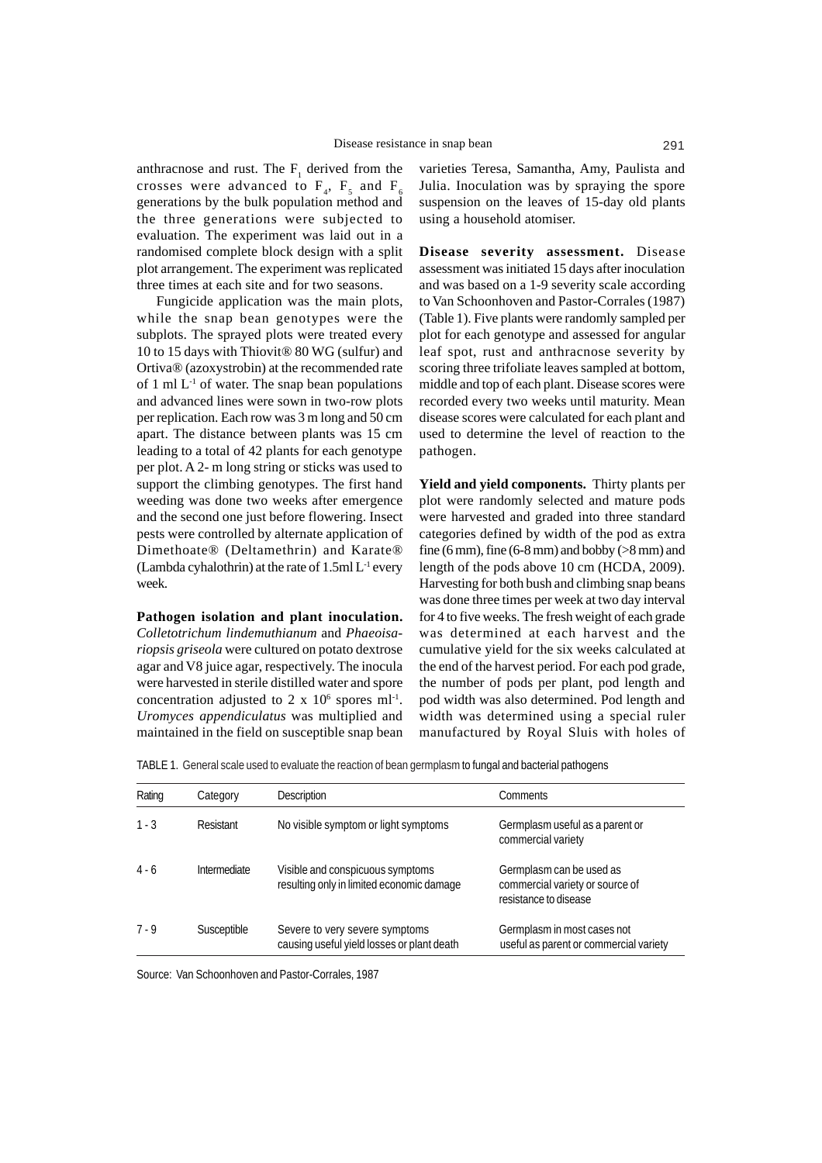anthracnose and rust. The  $F_1$  derived from the crosses were advanced to  $F_4$ ,  $F_5$  and  $F_6$ generations by the bulk population method and the three generations were subjected to evaluation. The experiment was laid out in a randomised complete block design with a split plot arrangement. The experiment was replicated three times at each site and for two seasons.

Fungicide application was the main plots, while the snap bean genotypes were the subplots. The sprayed plots were treated every 10 to 15 days with Thiovit® 80 WG (sulfur) and Ortiva® (azoxystrobin) at the recommended rate of 1 ml  $L^{-1}$  of water. The snap bean populations and advanced lines were sown in two-row plots per replication. Each row was 3 m long and 50 cm apart. The distance between plants was 15 cm leading to a total of 42 plants for each genotype per plot. A 2- m long string or sticks was used to support the climbing genotypes. The first hand weeding was done two weeks after emergence and the second one just before flowering. Insect pests were controlled by alternate application of Dimethoate® (Deltamethrin) and Karate® (Lambda cyhalothrin) at the rate of  $1.5$ ml L<sup>-1</sup> every week.

# **Pathogen isolation and plant inoculation.**

*Colletotrichum lindemuthianum* and *Phaeoisariopsis griseola* were cultured on potato dextrose agar and V8 juice agar, respectively. The inocula were harvested in sterile distilled water and spore concentration adjusted to 2 x  $10^6$  spores ml<sup>-1</sup>. *Uromyces appendiculatus* was multiplied and maintained in the field on susceptible snap bean

varieties Teresa, Samantha, Amy, Paulista and Julia. Inoculation was by spraying the spore suspension on the leaves of 15-day old plants using a household atomiser.

**Disease severity assessment.** Disease assessment was initiated 15 days after inoculation and was based on a 1-9 severity scale according to Van Schoonhoven and Pastor-Corrales (1987) (Table 1). Five plants were randomly sampled per plot for each genotype and assessed for angular leaf spot, rust and anthracnose severity by scoring three trifoliate leaves sampled at bottom, middle and top of each plant. Disease scores were recorded every two weeks until maturity. Mean disease scores were calculated for each plant and used to determine the level of reaction to the pathogen.

**Yield and yield components.** Thirty plants per plot were randomly selected and mature pods were harvested and graded into three standard categories defined by width of the pod as extra fine (6 mm), fine (6-8 mm) and bobby ( $>8$  mm) and length of the pods above 10 cm (HCDA, 2009). Harvesting for both bush and climbing snap beans was done three times per week at two day interval for 4 to five weeks. The fresh weight of each grade was determined at each harvest and the cumulative yield for the six weeks calculated at the end of the harvest period. For each pod grade, the number of pods per plant, pod length and pod width was also determined. Pod length and width was determined using a special ruler manufactured by Royal Sluis with holes of

TABLE 1. General scale used to evaluate the reaction of bean germplasmto fungal and bacterial pathogens

| Rating  | Category            | <b>Description</b>                                                            | <b>Comments</b>                                                                      |
|---------|---------------------|-------------------------------------------------------------------------------|--------------------------------------------------------------------------------------|
| $1 - 3$ | Resistant           | No visible symptom or light symptoms                                          | Germplasm useful as a parent or<br>commercial variety                                |
| $4 - 6$ | <b>Intermediate</b> | Visible and conspicuous symptoms<br>resulting only in limited economic damage | Germplasm can be used as<br>commercial variety or source of<br>resistance to disease |
| $7 - 9$ | Susceptible         | Severe to very severe symptoms<br>causing useful yield losses or plant death  | Germplasm in most cases not<br>useful as parent or commercial variety                |

Source: Van Schoonhoven and Pastor-Corrales, 1987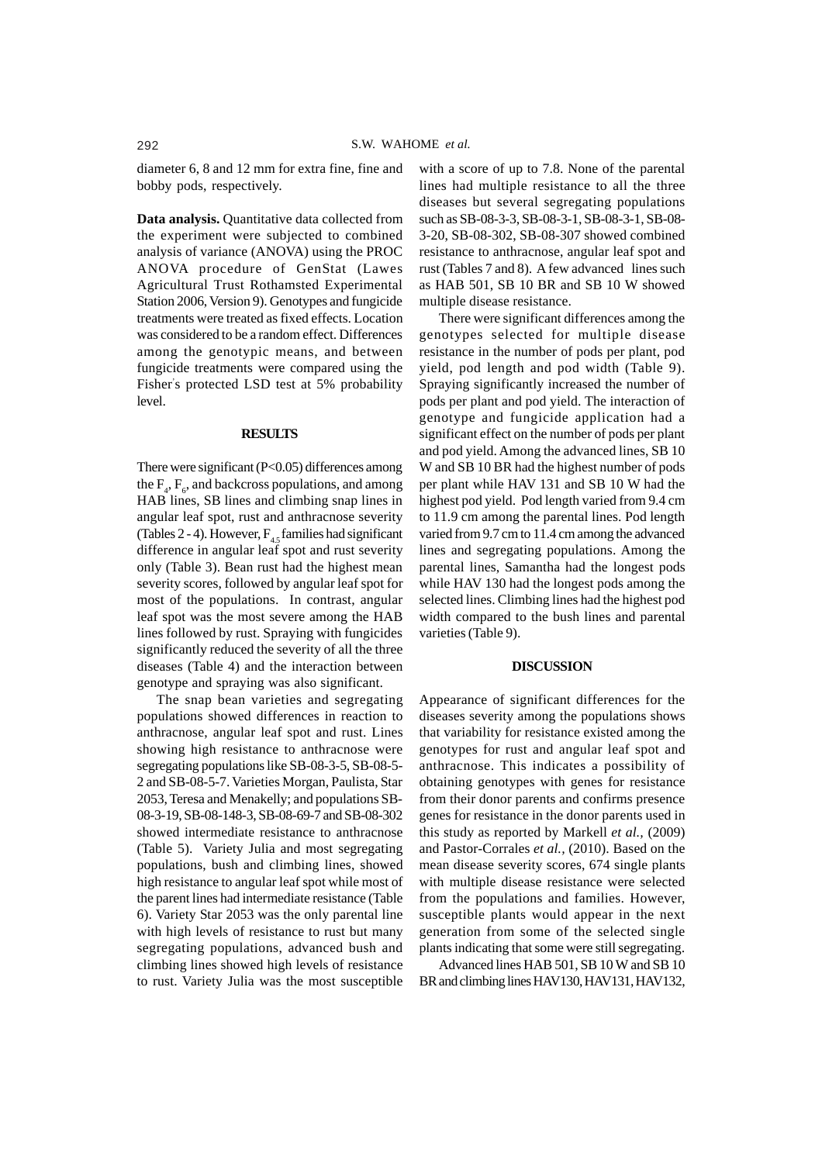diameter 6, 8 and 12 mm for extra fine, fine and bobby pods, respectively.

**Data analysis.** Quantitative data collected from the experiment were subjected to combined analysis of variance (ANOVA) using the PROC ANOVA procedure of GenStat (Lawes Agricultural Trust Rothamsted Experimental Station 2006, Version 9). Genotypes and fungicide treatments were treated as fixed effects. Location was considered to be a random effect. Differences among the genotypic means, and between fungicide treatments were compared using the Fisher' s protected LSD test at 5% probability level.

# **RESULTS**

There were significant (P<0.05) differences among the  $F_4$ ,  $F_6$ , and backcross populations, and among HAB lines, SB lines and climbing snap lines in angular leaf spot, rust and anthracnose severity (Tables 2 - 4). However,  $F_{4,5}$  families had significant difference in angular leaf spot and rust severity only (Table 3). Bean rust had the highest mean severity scores, followed by angular leaf spot for most of the populations. In contrast, angular leaf spot was the most severe among the HAB lines followed by rust. Spraying with fungicides significantly reduced the severity of all the three diseases (Table 4) and the interaction between genotype and spraying was also significant.

The snap bean varieties and segregating populations showed differences in reaction to anthracnose, angular leaf spot and rust. Lines showing high resistance to anthracnose were segregating populations like SB-08-3-5, SB-08-5- 2 and SB-08-5-7. Varieties Morgan, Paulista, Star 2053, Teresa and Menakelly; and populations SB-08-3-19, SB-08-148-3, SB-08-69-7 and SB-08-302 showed intermediate resistance to anthracnose (Table 5). Variety Julia and most segregating populations, bush and climbing lines, showed high resistance to angular leaf spot while most of the parent lines had intermediate resistance (Table 6). Variety Star 2053 was the only parental line with high levels of resistance to rust but many segregating populations, advanced bush and climbing lines showed high levels of resistance to rust. Variety Julia was the most susceptible

with a score of up to 7.8. None of the parental lines had multiple resistance to all the three diseases but several segregating populations such as SB-08-3-3, SB-08-3-1, SB-08-3-1, SB-08- 3-20, SB-08-302, SB-08-307 showed combined resistance to anthracnose, angular leaf spot and rust (Tables 7 and 8). A few advanced lines such as HAB 501, SB 10 BR and SB 10 W showed multiple disease resistance.

There were significant differences among the genotypes selected for multiple disease resistance in the number of pods per plant, pod yield, pod length and pod width (Table 9). Spraying significantly increased the number of pods per plant and pod yield. The interaction of genotype and fungicide application had a significant effect on the number of pods per plant and pod yield. Among the advanced lines, SB 10 W and SB 10 BR had the highest number of pods per plant while HAV 131 and SB 10 W had the highest pod yield. Pod length varied from 9.4 cm to 11.9 cm among the parental lines. Pod length varied from 9.7 cm to 11.4 cm among the advanced lines and segregating populations. Among the parental lines, Samantha had the longest pods while HAV 130 had the longest pods among the selected lines. Climbing lines had the highest pod width compared to the bush lines and parental varieties (Table 9).

#### **DISCUSSION**

Appearance of significant differences for the diseases severity among the populations shows that variability for resistance existed among the genotypes for rust and angular leaf spot and anthracnose. This indicates a possibility of obtaining genotypes with genes for resistance from their donor parents and confirms presence genes for resistance in the donor parents used in this study as reported by Markell *et al.,* (2009) and Pastor-Corrales *et al.,* (2010). Based on the mean disease severity scores, 674 single plants with multiple disease resistance were selected from the populations and families. However, susceptible plants would appear in the next generation from some of the selected single plants indicating that some were still segregating.

Advanced lines HAB 501, SB 10 W and SB 10 BR and climbing lines HAV130, HAV131, HAV132,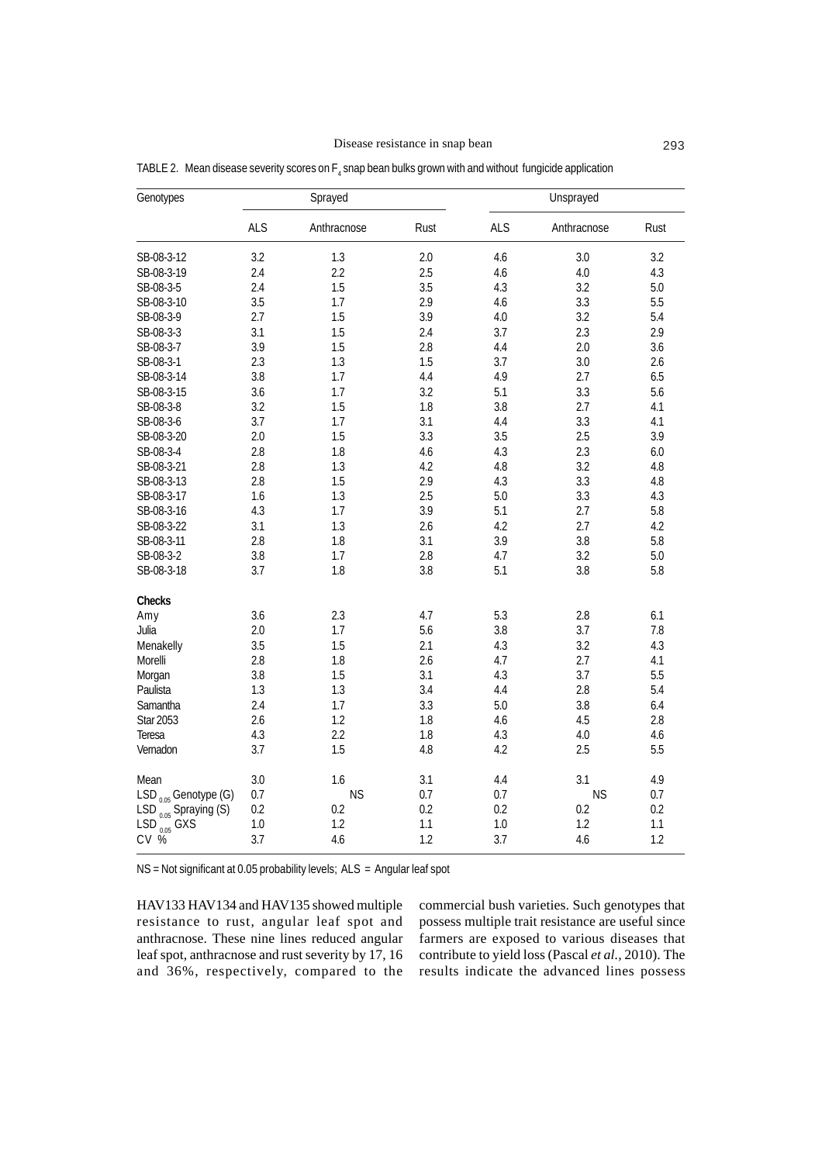Disease resistance in snap bean 293

| Genotypes                              | Sprayed    |             |      |            |             |         |
|----------------------------------------|------------|-------------|------|------------|-------------|---------|
|                                        | <b>ALS</b> | Anthracnose | Rust | <b>ALS</b> | Anthracnose | Rust    |
| SB-08-3-12                             | 3.2        | 1.3         | 2.0  | 4.6        | 3.0         | 3.2     |
| SB-08-3-19                             | 2.4        | 2.2         | 2.5  | 4.6        | 4.0         | 4.3     |
| SB-08-3-5                              | 2.4        | 1.5         | 3.5  | 4.3        | 3.2         | 5.0     |
| SB-08-3-10                             | 3.5        | 1.7         | 2.9  | 4.6        | 3.3         | 5.5     |
| SB-08-3-9                              | 2.7        | 1.5         | 3.9  | 4.0        | 3.2         | 5.4     |
| SB-08-3-3                              | 3.1        | 1.5         | 2.4  | 3.7        | 2.3         | 2.9     |
| SB-08-3-7                              | 3.9        | 1.5         | 2.8  | 4.4        | 2.0         | 3.6     |
| SB-08-3-1                              | 2.3        | 1.3         | 1.5  | 3.7        | 3.0         | 2.6     |
| SB-08-3-14                             | 3.8        | 1.7         | 4.4  | 4.9        | 2.7         | 6.5     |
| SB-08-3-15                             | 3.6        | 1.7         | 3.2  | 5.1        | 3.3         | 5.6     |
| SB-08-3-8                              | 3.2        | 1.5         | 1.8  | 3.8        | 2.7         | 4.1     |
| SB-08-3-6                              | 3.7        | 1.7         | 3.1  | 4.4        | 3.3         | 4.1     |
| SB-08-3-20                             | 2.0        | 1.5         | 3.3  | 3.5        | 2.5         | 3.9     |
| SB-08-3-4                              | 2.8        | 1.8         | 4.6  | 4.3        | 2.3         | 6.0     |
| SB-08-3-21                             | 2.8        | 1.3         | 4.2  | 4.8        | 3.2         | $4.8\,$ |
| SB-08-3-13                             | 2.8        | 1.5         | 2.9  | 4.3        | 3.3         | $4.8\,$ |
| SB-08-3-17                             | 1.6        | 1.3         | 2.5  | 5.0        | 3.3         | 4.3     |
| SB-08-3-16                             | 4.3        | 1.7         | 3.9  | 5.1        | 2.7         | 5.8     |
| SB-08-3-22                             | 3.1        | 1.3         | 2.6  | 4.2        | 2.7         | 4.2     |
| SB-08-3-11                             | 2.8        | 1.8         | 3.1  | 3.9        | 3.8         | 5.8     |
| SB-08-3-2                              | 3.8        | 1.7         | 2.8  | 4.7        | 3.2         | 5.0     |
| SB-08-3-18                             | 3.7        | 1.8         | 3.8  | 5.1        | 3.8         | 5.8     |
| Checks                                 |            |             |      |            |             |         |
| Amy                                    | 3.6        | 2.3         | 4.7  | 5.3        | 2.8         | 6.1     |
| Julia                                  | 2.0        | 1.7         | 5.6  | 3.8        | 3.7         | 7.8     |
| Menakelly                              | 3.5        | 1.5         | 2.1  | 4.3        | 3.2         | 4.3     |
| Morelli                                | 2.8        | 1.8         | 2.6  | 4.7        | 2.7         | 4.1     |
| Morgan                                 | 3.8        | 1.5         | 3.1  | 4.3        | 3.7         | 5.5     |
| Paulista                               | 1.3        | 1.3         | 3.4  | 4.4        | 2.8         | 5.4     |
| Samantha                               | 2.4        | 1.7         | 3.3  | 5.0        | 3.8         | 6.4     |
| <b>Star 2053</b>                       | 2.6        | 1.2         | 1.8  | 4.6        | 4.5         | 2.8     |
| Teresa                                 | 4.3        | 2.2         | 1.8  | 4.3        | 4.0         | 4.6     |
| Vernadon                               | 3.7        | 1.5         | 4.8  | 4.2        | 2.5         | 5.5     |
| Mean                                   | 3.0        | 1.6         | 3.1  | 4.4        | 3.1         | 4.9     |
| $LSD_{0.05}$ Genotype (G)              | 0.7        | <b>NS</b>   | 0.7  | 0.7        | <b>NS</b>   | 0.7     |
| LSD $_{0.05}$ Spraying (S)             | 0.2        | 0.2         | 0.2  | 0.2        | 0.2         | 0.2     |
| LSD $_{0.05}^{\circ\circ}$ GXS<br>CV % | 1.0        | 1.2         | 1.1  | 1.0        | 1.2         | 1.1     |
|                                        | 3.7        | 4.6         | 1.2  | 3.7        | 4.6         | 1.2     |

TABLE 2. Mean disease severity scores on  $\mathsf{F}_4$  snap bean bulks grown with and without fungicide application

NS = Not significant at 0.05 probability levels; ALS = Angular leaf spot

HAV133 HAV134 and HAV135 showed multiple resistance to rust, angular leaf spot and anthracnose. These nine lines reduced angular leaf spot, anthracnose and rust severity by 17, 16 and 36%, respectively, compared to the commercial bush varieties. Such genotypes that possess multiple trait resistance are useful since farmers are exposed to various diseases that contribute to yield loss (Pascal *et al.,* 2010). The results indicate the advanced lines possess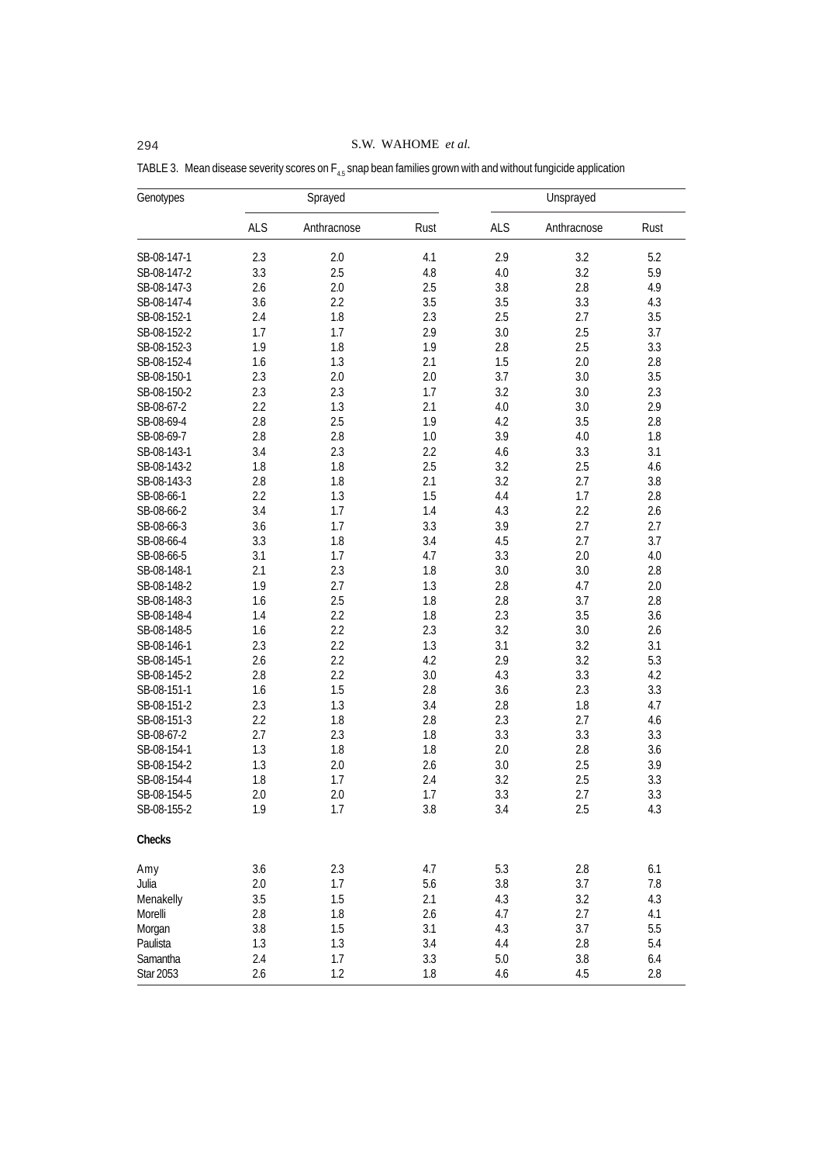294 S.W. WAHOME *et al.*

| Genotypes                | Sprayed    |             |            |            | Unsprayed   |      |
|--------------------------|------------|-------------|------------|------------|-------------|------|
|                          | <b>ALS</b> | Anthracnose | Rust       | <b>ALS</b> | Anthracnose | Rust |
| SB-08-147-1              | 2.3        | 2.0         | 4.1        | 2.9        | 3.2         | 5.2  |
| SB-08-147-2              | 3.3        | 2.5         | 4.8        | 4.0        | 3.2         | 5.9  |
| SB-08-147-3              | 2.6        | 2.0         | 2.5        | 3.8        | 2.8         | 4.9  |
| SB-08-147-4              | 3.6        | 2.2         | 3.5        | 3.5        | 3.3         | 4.3  |
| SB-08-152-1              | 2.4        | 1.8         | 2.3        | 2.5        | 2.7         | 3.5  |
| SB-08-152-2              | 1.7        | 1.7         | 2.9        | 3.0        | 2.5         | 3.7  |
| SB-08-152-3              | 1.9        | 1.8         | 1.9        | 2.8        | 2.5         | 3.3  |
| SB-08-152-4              | 1.6        | 1.3         | 2.1        | 1.5        | 2.0         | 2.8  |
| SB-08-150-1              | 2.3        | 2.0         | 2.0        | 3.7        | 3.0         | 3.5  |
| SB-08-150-2              | 2.3        | 2.3         | 1.7        | 3.2        | 3.0         | 2.3  |
| SB-08-67-2               | 2.2        | 1.3         | 2.1        | 4.0        | 3.0         | 2.9  |
| SB-08-69-4               | 2.8        | 2.5         | 1.9        | 4.2        | 3.5         | 2.8  |
| SB-08-69-7               | 2.8        | 2.8         | 1.0        | 3.9        | 4.0         | 1.8  |
| SB-08-143-1              | 3.4        | 2.3         | 2.2        | 4.6        | 3.3         | 3.1  |
| SB-08-143-2              | 1.8        | 1.8         | 2.5        | 3.2        | 2.5         |      |
|                          | 2.8        |             |            | 3.2        |             | 4.6  |
| SB-08-143-3              | 2.2        | 1.8<br>1.3  | 2.1<br>1.5 | 4.4        | 2.7         | 3.8  |
| SB-08-66-1               |            |             |            |            | 1.7         | 2.8  |
| SB-08-66-2<br>SB-08-66-3 | 3.4        | 1.7<br>1.7  | 1.4        | 4.3<br>3.9 | 2.2<br>2.7  | 2.6  |
|                          | 3.6        |             | 3.3        |            |             | 2.7  |
| SB-08-66-4               | 3.3        | 1.8         | 3.4        | 4.5        | 2.7         | 3.7  |
| SB-08-66-5               | 3.1        | 1.7         | 4.7        | 3.3        | 2.0         | 4.0  |
| SB-08-148-1              | 2.1        | 2.3         | 1.8        | 3.0        | 3.0         | 2.8  |
| SB-08-148-2              | 1.9        | 2.7         | 1.3        | 2.8        | 4.7         | 2.0  |
| SB-08-148-3              | 1.6        | 2.5         | 1.8        | 2.8        | 3.7         | 2.8  |
| SB-08-148-4              | 1.4        | 2.2         | 1.8        | 2.3        | 3.5         | 3.6  |
| SB-08-148-5              | 1.6        | 2.2         | 2.3        | 3.2        | 3.0         | 2.6  |
| SB-08-146-1              | 2.3        | 2.2         | 1.3        | 3.1        | 3.2         | 3.1  |
| SB-08-145-1              | 2.6        | 2.2         | 4.2        | 2.9        | 3.2         | 5.3  |
| SB-08-145-2              | 2.8        | 2.2         | 3.0        | 4.3        | 3.3         | 4.2  |
| SB-08-151-1              | 1.6        | 1.5         | 2.8        | 3.6        | 2.3         | 3.3  |
| SB-08-151-2              | 2.3        | 1.3         | 3.4        | 2.8        | 1.8         | 4.7  |
| SB-08-151-3              | 2.2        | 1.8         | 2.8        | 2.3        | 2.7         | 4.6  |
| SB-08-67-2               | 2.7        | 2.3         | 1.8        | 3.3        | 3.3         | 3.3  |
| SB-08-154-1              | 1.3        | 1.8         | 1.8        | 2.0        | 2.8         | 3.6  |
| SB-08-154-2              | 1.3        | 2.0         | 2.6        | 3.0        | 2.5         | 3.9  |
| SB-08-154-4              | 1.8        | 1.7         | 2.4        | 3.2        | 2.5         | 3.3  |
| SB-08-154-5              | 2.0        | 2.0         | 1.7        | 3.3        | 2.7         | 3.3  |
| SB-08-155-2              | 1.9        | 1.7         | 3.8        | 3.4        | 2.5         | 4.3  |
| Checks                   |            |             |            |            |             |      |
| Amy                      | 3.6        | 2.3         | 4.7        | 5.3        | $2.8\,$     | 6.1  |
| Julia                    | 2.0        | 1.7         | 5.6        | 3.8        | 3.7         | 7.8  |
| Menakelly                | 3.5        | 1.5         | 2.1        | 4.3        | 3.2         | 4.3  |
| Morelli                  | 2.8        | 1.8         | 2.6        | 4.7        | 2.7         | 4.1  |
| Morgan                   | 3.8        | 1.5         | 3.1        | 4.3        | 3.7         | 5.5  |
| Paulista                 | 1.3        | 1.3         | 3.4        | 4.4        | 2.8         | 5.4  |
| Samantha                 | 2.4        | 1.7         | 3.3        | 5.0        | 3.8         | 6.4  |
| Star 2053                | 2.6        | 1.2         | 1.8        | 4.6        | 4.5         | 2.8  |

TABLE 3. Mean disease severity scores on  $F_{4.5}$  snap bean families grown with and without fungicide application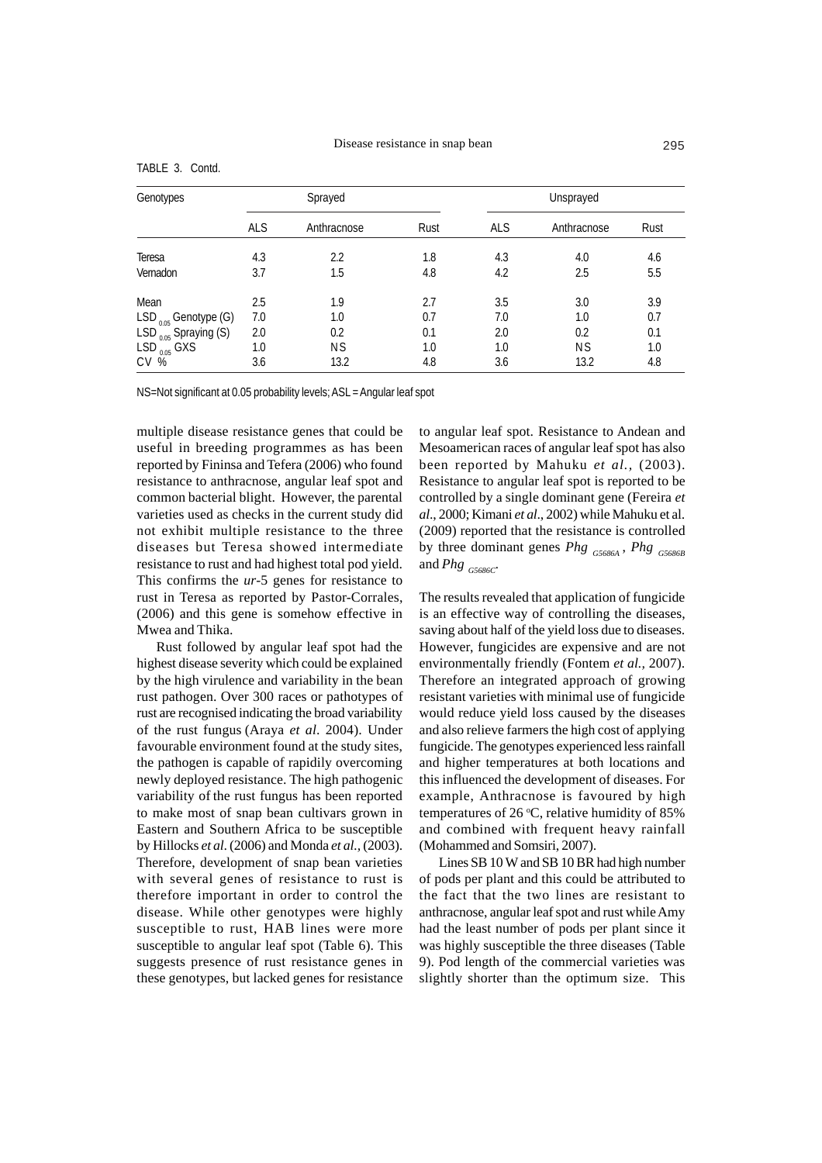| Genotypes                  |            | Sprayed     |      | Unsprayed  |             |      |
|----------------------------|------------|-------------|------|------------|-------------|------|
|                            | <b>ALS</b> | Anthracnose | Rust | <b>ALS</b> | Anthracnose | Rust |
| Teresa                     | 4.3        | 2.2         | 1.8  | 4.3        | 4.0         | 4.6  |
| Vernadon                   | 3.7        | 1.5         | 4.8  | 4.2        | 2.5         | 5.5  |
| Mean                       | 2.5        | 1.9         | 2.7  | 3.5        | 3.0         | 3.9  |
| $LSD_{0.05}$ Genotype (G)  | 7.0        | 1.0         | 0.7  | 7.0        | 1.0         | 0.7  |
| LSD $_{0.05}$ Spraying (S) | 2.0        | 0.2         | 0.1  | 2.0        | 0.2         | 0.1  |
| $LSD$ <sub>0.05</sub> GXS  | 1.0        | <b>NS</b>   | 1.0  | 1.0        | <b>NS</b>   | 1.0  |
| CV <sub>%</sub>            | 3.6        | 13.2        | 4.8  | 3.6        | 13.2        | 4.8  |

TABLE 3. Contd.

NS=Not significant at 0.05 probability levels; ASL = Angular leaf spot

multiple disease resistance genes that could be useful in breeding programmes as has been reported by Fininsa and Tefera (2006) who found resistance to anthracnose, angular leaf spot and common bacterial blight. However, the parental varieties used as checks in the current study did not exhibit multiple resistance to the three diseases but Teresa showed intermediate resistance to rust and had highest total pod yield. This confirms the *ur*-5 genes for resistance to rust in Teresa as reported by Pastor-Corrales, (2006) and this gene is somehow effective in Mwea and Thika.

Rust followed by angular leaf spot had the highest disease severity which could be explained by the high virulence and variability in the bean rust pathogen. Over 300 races or pathotypes of rust are recognised indicating the broad variability of the rust fungus (Araya *et al*. 2004). Under favourable environment found at the study sites, the pathogen is capable of rapidily overcoming newly deployed resistance. The high pathogenic variability of the rust fungus has been reported to make most of snap bean cultivars grown in Eastern and Southern Africa to be susceptible by Hillocks *et al*. (2006) and Monda *et al.,* (2003). Therefore, development of snap bean varieties with several genes of resistance to rust is therefore important in order to control the disease. While other genotypes were highly susceptible to rust, HAB lines were more susceptible to angular leaf spot (Table 6). This suggests presence of rust resistance genes in these genotypes, but lacked genes for resistance

to angular leaf spot. Resistance to Andean and Mesoamerican races of angular leaf spot has also been reported by Mahuku *et al.,* (2003). Resistance to angular leaf spot is reported to be controlled by a single dominant gene (Fereira *et al*., 2000; Kimani *et al*., 2002) while Mahuku et al. (2009) reported that the resistance is controlled by three dominant genes *Phg G5686A* , *Phg G5686B* and *Phg G5686C.*

The results revealed that application of fungicide is an effective way of controlling the diseases, saving about half of the yield loss due to diseases. However, fungicides are expensive and are not environmentally friendly (Fontem *et al.,* 2007). Therefore an integrated approach of growing resistant varieties with minimal use of fungicide would reduce yield loss caused by the diseases and also relieve farmers the high cost of applying fungicide. The genotypes experienced less rainfall and higher temperatures at both locations and this influenced the development of diseases. For example, Anthracnose is favoured by high temperatures of 26  $°C$ , relative humidity of 85% and combined with frequent heavy rainfall (Mohammed and Somsiri, 2007).

Lines SB 10 W and SB 10 BR had high number of pods per plant and this could be attributed to the fact that the two lines are resistant to anthracnose, angular leaf spot and rust while Amy had the least number of pods per plant since it was highly susceptible the three diseases (Table 9). Pod length of the commercial varieties was slightly shorter than the optimum size. This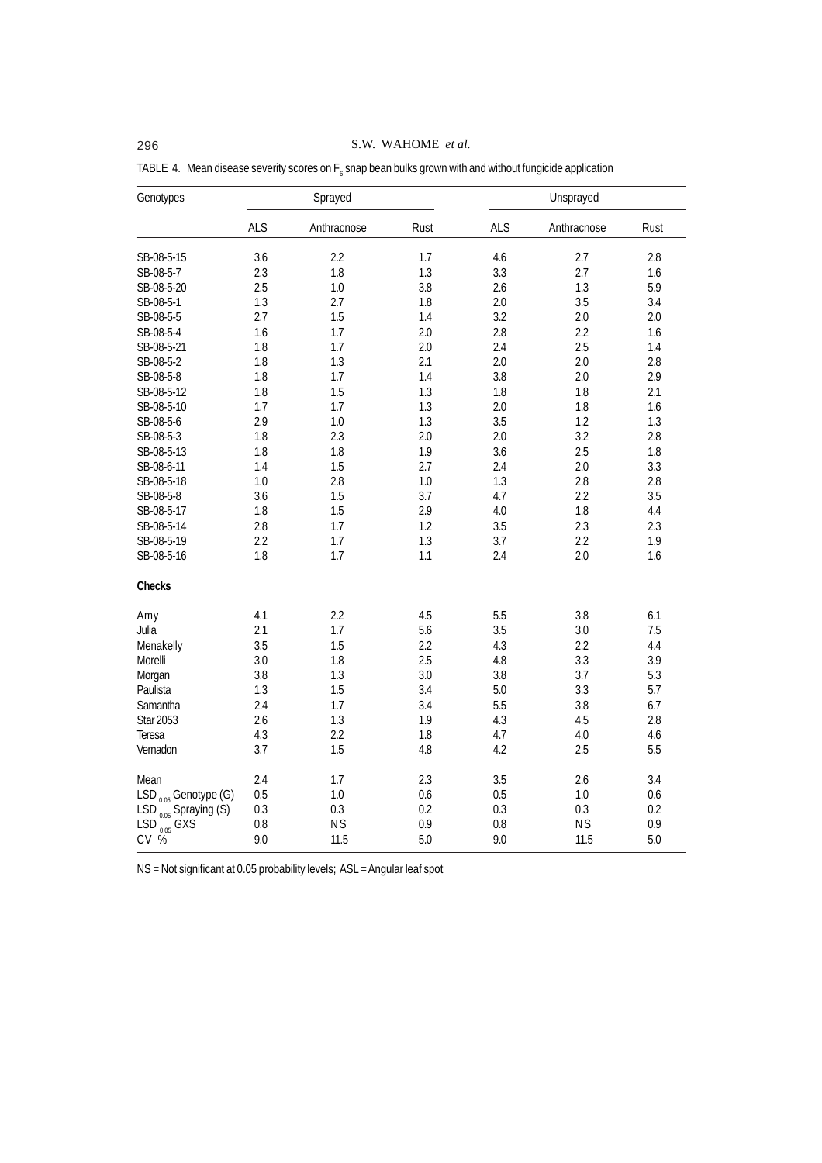# 296 S.W. WAHOME *et al.*

| Genotypes                 |            | Sprayed     |      | Unsprayed  |             |      |
|---------------------------|------------|-------------|------|------------|-------------|------|
|                           | <b>ALS</b> | Anthracnose | Rust | <b>ALS</b> | Anthracnose | Rust |
| SB-08-5-15                | 3.6        | 2.2         | 1.7  | 4.6        | 2.7         | 2.8  |
| SB-08-5-7                 | 2.3        | 1.8         | 1.3  | 3.3        | 2.7         | 1.6  |
| SB-08-5-20                | 2.5        | 1.0         | 3.8  | 2.6        | 1.3         | 5.9  |
| SB-08-5-1                 | 1.3        | 2.7         | 1.8  | 2.0        | 3.5         | 3.4  |
| SB-08-5-5                 | 2.7        | 1.5         | 1.4  | 3.2        | 2.0         | 2.0  |
| SB-08-5-4                 | 1.6        | 1.7         | 2.0  | 2.8        | 2.2         | 1.6  |
| SB-08-5-21                | 1.8        | 1.7         | 2.0  | 2.4        | 2.5         | 1.4  |
| SB-08-5-2                 | 1.8        | 1.3         | 2.1  | 2.0        | 2.0         | 2.8  |
| SB-08-5-8                 | 1.8        | 1.7         | 1.4  | 3.8        | 2.0         | 2.9  |
| SB-08-5-12                | 1.8        | 1.5         | 1.3  | 1.8        | 1.8         | 2.1  |
| SB-08-5-10                | 1.7        | 1.7         | 1.3  | 2.0        | 1.8         | 1.6  |
| SB-08-5-6                 | 2.9        | 1.0         | 1.3  | 3.5        | 1.2         | 1.3  |
| SB-08-5-3                 | 1.8        | 2.3         | 2.0  | 2.0        | 3.2         | 2.8  |
| SB-08-5-13                | 1.8        | 1.8         | 1.9  | 3.6        | 2.5         | 1.8  |
| SB-08-6-11                | 1.4        | 1.5         | 2.7  | 2.4        | 2.0         | 3.3  |
| SB-08-5-18                | 1.0        | 2.8         | 1.0  | 1.3        | 2.8         | 2.8  |
| SB-08-5-8                 | 3.6        | 1.5         | 3.7  | 4.7        | 2.2         | 3.5  |
| SB-08-5-17                | 1.8        | 1.5         | 2.9  | 4.0        | 1.8         | 4.4  |
| SB-08-5-14                | 2.8        | 1.7         | 1.2  | 3.5        | 2.3         | 2.3  |
| SB-08-5-19                | 2.2        | 1.7         | 1.3  | 3.7        | 2.2         | 1.9  |
| SB-08-5-16                | 1.8        | 1.7         | 1.1  | 2.4        | 2.0         | 1.6  |
| Checks                    |            |             |      |            |             |      |
| Amy                       | 4.1        | 2.2         | 4.5  | 5.5        | 3.8         | 6.1  |
| Julia                     | 2.1        | 1.7         | 5.6  | 3.5        | 3.0         | 7.5  |
| Menakelly                 | 3.5        | 1.5         | 2.2  | 4.3        | 2.2         | 4.4  |
| Morelli                   | 3.0        | 1.8         | 2.5  | 4.8        | 3.3         | 3.9  |
| Morgan                    | 3.8        | 1.3         | 3.0  | 3.8        | 3.7         | 5.3  |
| Paulista                  | 1.3        | 1.5         | 3.4  | 5.0        | 3.3         | 5.7  |
| Samantha                  | 2.4        | 1.7         | 3.4  | 5.5        | 3.8         | 6.7  |
| Star 2053                 | 2.6        | 1.3         | 1.9  | 4.3        | 4.5         | 2.8  |
| Teresa                    | 4.3        | 2.2         | 1.8  | 4.7        | 4.0         | 4.6  |
| Vernadon                  | 3.7        | 1.5         | 4.8  | 4.2        | 2.5         | 5.5  |
| Mean                      | 2.4        | 1.7         | 2.3  | 3.5        | 2.6         | 3.4  |
| $LSD_{0.05}$ Genotype (G) | 0.5        | 1.0         | 0.6  | 0.5        | 1.0         | 0.6  |
| $LSD_{0.05}$ Spraying (S) | 0.3        | 0.3         | 0.2  | 0.3        | 0.3         | 0.2  |
| $LSD$ <sub>0.05</sub> GXS | 0.8        | <b>NS</b>   | 0.9  | 0.8        | <b>NS</b>   | 0.9  |
| $CV$ %                    | 9.0        | 11.5        | 5.0  | 9.0        | 11.5        | 5.0  |

TABLE 4. Mean disease severity scores on  $\mathsf{F}_6$  snap bean bulks grown with and without fungicide application

NS = Not significant at 0.05 probability levels; ASL = Angular leaf spot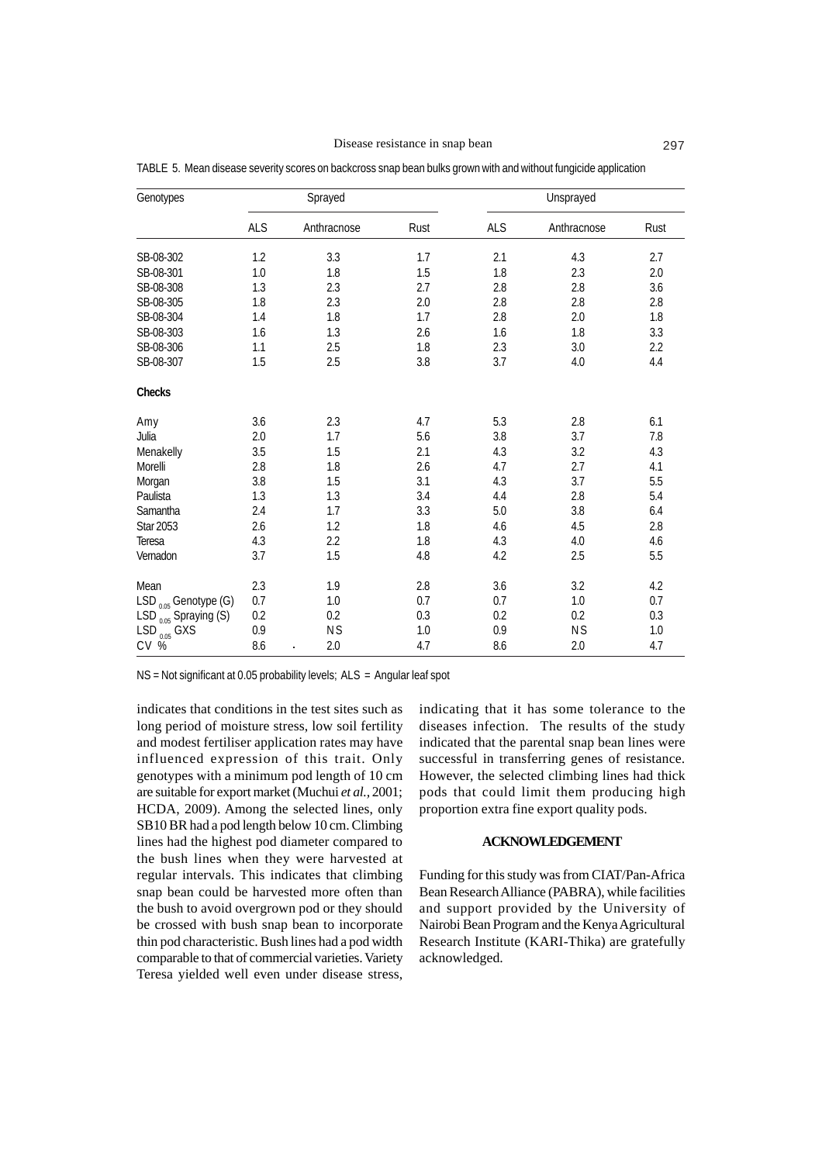Disease resistance in snap bean 297

| Genotypes                        |            | Sprayed     | Unsprayed |            |             |         |  |
|----------------------------------|------------|-------------|-----------|------------|-------------|---------|--|
|                                  | <b>ALS</b> | Anthracnose | Rust      | <b>ALS</b> | Anthracnose | Rust    |  |
| SB-08-302                        | 1.2        | 3.3         | 1.7       | 2.1        | 4.3         | 2.7     |  |
| SB-08-301                        | 1.0        | 1.8         | 1.5       | 1.8        | 2.3         | 2.0     |  |
| SB-08-308                        | 1.3        | 2.3         | 2.7       | 2.8        | 2.8         | 3.6     |  |
| SB-08-305                        | 1.8        | 2.3         | 2.0       | 2.8        | 2.8         | $2.8\,$ |  |
| SB-08-304                        | 1.4        | 1.8         | 1.7       | 2.8        | 2.0         | 1.8     |  |
| SB-08-303                        | 1.6        | 1.3         | 2.6       | 1.6        | 1.8         | 3.3     |  |
| SB-08-306                        | 1.1        | 2.5         | 1.8       | 2.3        | 3.0         | 2.2     |  |
| SB-08-307                        | 1.5        | 2.5         | 3.8       | 3.7        | 4.0         | 4.4     |  |
| Checks                           |            |             |           |            |             |         |  |
| Amy                              | 3.6        | 2.3         | 4.7       | 5.3        | 2.8         | 6.1     |  |
| Julia                            | 2.0        | 1.7         | 5.6       | 3.8        | 3.7         | 7.8     |  |
| Menakelly                        | 3.5        | 1.5         | 2.1       | 4.3        | 3.2         | 4.3     |  |
| Morelli                          | 2.8        | 1.8         | 2.6       | 4.7        | 2.7         | 4.1     |  |
| Morgan                           | 3.8        | 1.5         | 3.1       | 4.3        | 3.7         | 5.5     |  |
| Paulista                         | 1.3        | 1.3         | 3.4       | 4.4        | 2.8         | 5.4     |  |
| Samantha                         | 2.4        | 1.7         | 3.3       | 5.0        | 3.8         | 6.4     |  |
| <b>Star 2053</b>                 | 2.6        | 1.2         | 1.8       | 4.6        | 4.5         | 2.8     |  |
| Teresa                           | 4.3        | 2.2         | 1.8       | 4.3        | 4.0         | 4.6     |  |
| Vernadon                         | 3.7        | 1.5         | 4.8       | 4.2        | 2.5         | 5.5     |  |
| Mean                             | 2.3        | 1.9         | 2.8       | 3.6        | 3.2         | 4.2     |  |
| $LSD_{0.05}$ Genotype (G)        | 0.7        | 1.0         | 0.7       | 0.7        | 1.0         | 0.7     |  |
| LSD $_{0.05}^{111}$ Spraying (S) | 0.2        | 0.2         | 0.3       | 0.2        | 0.2         | 0.3     |  |
| $LSD$ <sub>0.05</sub> $GXS$      | 0.9        | <b>NS</b>   | 1.0       | 0.9        | <b>NS</b>   | $1.0\,$ |  |
| $CV \overset{\circ}{\%}$         | 8.6        | 2.0         | 4.7       | 8.6        | 2.0         | 4.7     |  |

TABLE 5. Mean disease severity scores on backcross snap bean bulks grown with and without fungicide application

NS = Not significant at 0.05 probability levels; ALS = Angular leaf spot

indicates that conditions in the test sites such as long period of moisture stress, low soil fertility and modest fertiliser application rates may have influenced expression of this trait. Only genotypes with a minimum pod length of 10 cm are suitable for export market (Muchui *et al.,* 2001; HCDA, 2009). Among the selected lines, only SB10 BR had a pod length below 10 cm. Climbing lines had the highest pod diameter compared to the bush lines when they were harvested at regular intervals. This indicates that climbing snap bean could be harvested more often than the bush to avoid overgrown pod or they should be crossed with bush snap bean to incorporate thin pod characteristic. Bush lines had a pod width comparable to that of commercial varieties. Variety Teresa yielded well even under disease stress, indicating that it has some tolerance to the diseases infection. The results of the study indicated that the parental snap bean lines were successful in transferring genes of resistance. However, the selected climbing lines had thick pods that could limit them producing high proportion extra fine export quality pods.

# **ACKNOWLEDGEMENT**

Funding for this study was from CIAT/Pan-Africa Bean Research Alliance (PABRA), while facilities and support provided by the University of Nairobi Bean Program and the Kenya Agricultural Research Institute (KARI-Thika) are gratefully acknowledged.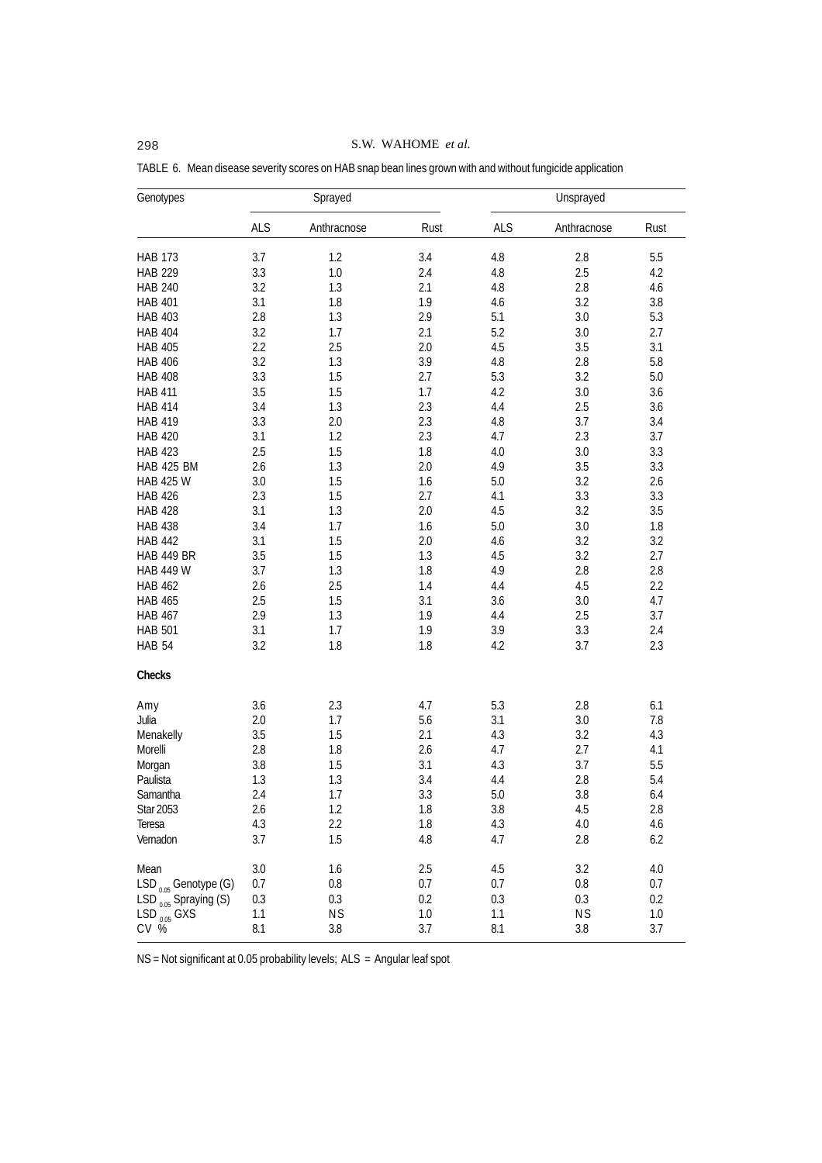| Genotypes                                  | Sprayed    |             |      |            |             |         |
|--------------------------------------------|------------|-------------|------|------------|-------------|---------|
|                                            | <b>ALS</b> | Anthracnose | Rust | <b>ALS</b> | Anthracnose | Rust    |
| <b>HAB 173</b>                             | 3.7        | 1.2         | 3.4  | 4.8        | 2.8         | 5.5     |
| <b>HAB 229</b>                             | 3.3        | 1.0         | 2.4  | 4.8        | 2.5         | 4.2     |
| <b>HAB 240</b>                             | 3.2        | 1.3         | 2.1  | 4.8        | 2.8         | 4.6     |
| <b>HAB 401</b>                             | 3.1        | 1.8         | 1.9  | 4.6        | 3.2         | 3.8     |
| <b>HAB 403</b>                             | 2.8        | 1.3         | 2.9  | 5.1        | 3.0         | 5.3     |
| <b>HAB 404</b>                             | 3.2        | 1.7         | 2.1  | 5.2        | 3.0         | 2.7     |
| <b>HAB 405</b>                             | 2.2        | 2.5         | 2.0  | 4.5        | 3.5         | 3.1     |
| <b>HAB 406</b>                             | 3.2        | 1.3         | 3.9  | 4.8        | 2.8         | 5.8     |
| <b>HAB 408</b>                             | 3.3        | 1.5         | 2.7  | 5.3        | 3.2         | 5.0     |
| <b>HAB 411</b>                             | 3.5        | 1.5         | 1.7  | 4.2        | 3.0         | 3.6     |
| <b>HAB 414</b>                             | 3.4        | 1.3         | 2.3  | 4.4        | 2.5         | 3.6     |
| <b>HAB 419</b>                             | 3.3        | 2.0         | 2.3  | 4.8        | 3.7         | 3.4     |
| <b>HAB 420</b>                             | 3.1        | 1.2         | 2.3  | 4.7        | 2.3         | 3.7     |
| <b>HAB 423</b>                             | 2.5        | 1.5         | 1.8  | 4.0        | 3.0         | 3.3     |
| <b>HAB 425 BM</b>                          | 2.6        | 1.3         | 2.0  | 4.9        | 3.5         | 3.3     |
| <b>HAB 425 W</b>                           | 3.0        | 1.5         | 1.6  | 5.0        | 3.2         | 2.6     |
| <b>HAB 426</b>                             | 2.3        | 1.5         | 2.7  | 4.1        | 3.3         | 3.3     |
| <b>HAB 428</b>                             | 3.1        | 1.3         | 2.0  | 4.5        | 3.2         | 3.5     |
| <b>HAB 438</b>                             | 3.4        | 1.7         | 1.6  | 5.0        | 3.0         | 1.8     |
| <b>HAB 442</b>                             | 3.1        | 1.5         | 2.0  | 4.6        | 3.2         | 3.2     |
| <b>HAB 449 BR</b>                          | 3.5        | 1.5         | 1.3  | 4.5        | 3.2         | 2.7     |
| <b>HAB 449 W</b>                           | 3.7        | 1.3         | 1.8  | 4.9        | 2.8         | 2.8     |
| <b>HAB 462</b>                             | 2.6        | 2.5         | 1.4  | 4.4        | 4.5         | 2.2     |
| <b>HAB 465</b>                             | 2.5        | 1.5         | 3.1  | 3.6        | 3.0         | 4.7     |
|                                            | 2.9        | 1.3         | 1.9  | 4.4        |             | 3.7     |
| <b>HAB 467</b>                             |            |             |      |            | 2.5         |         |
| <b>HAB 501</b>                             | 3.1        | 1.7         | 1.9  | 3.9        | 3.3         | 2.4     |
| <b>HAB 54</b>                              | 3.2        | 1.8         | 1.8  | 4.2        | 3.7         | 2.3     |
| Checks                                     |            |             |      |            |             |         |
| Amy                                        | 3.6        | 2.3         | 4.7  | 5.3        | 2.8         | 6.1     |
| Julia                                      | 2.0        | 1.7         | 5.6  | 3.1        | 3.0         | 7.8     |
| Menakelly                                  | 3.5        | 1.5         | 2.1  | 4.3        | 3.2         | 4.3     |
| Morelli                                    | 2.8        | 1.8         | 2.6  | 4.7        | 2.7         | 4.1     |
| Morgan                                     | 3.8        | 1.5         | 3.1  | 4.3        | 3.7         | 5.5     |
| Paulista                                   | 1.3        | 1.3         | 3.4  | 4.4        | 2.8         | 5.4     |
| Samantha                                   | 2.4        | 1.7         | 3.3  | 5.0        | 3.8         | 6.4     |
| Star 2053                                  | 2.6        | 1.2         | 1.8  | 3.8        | 4.5         | 2.8     |
| Teresa                                     | 4.3        | 2.2         | 1.8  | 4.3        | 4.0         | 4.6     |
| Vernadon                                   | 3.7        | 1.5         | 4.8  | 4.7        | 2.8         | 6.2     |
| Mean                                       | 3.0        | 1.6         | 2.5  | 4.5        | 3.2         | 4.0     |
| $LSD_{0.05}$ Genotype (G)                  | 0.7        | $0.8\,$     | 0.7  | 0.7        | 0.8         | 0.7     |
| LSD $_{0.05}$ Spraying (S)                 | 0.3        | 0.3         | 0.2  | 0.3        | 0.3         | 0.2     |
|                                            | 1.1        | <b>NS</b>   | 1.0  | 1.1        | <b>NS</b>   | $1.0\,$ |
| $LSD_{0.05}^{\circ\circ\circ}$ GXS<br>CV % | 8.1        | 3.8         | 3.7  | 8.1        | 3.8         | 3.7     |

TABLE 6. Mean disease severity scores on HAB snap bean lines grown with and without fungicide application

NS = Not significant at 0.05 probability levels; ALS = Angular leaf spot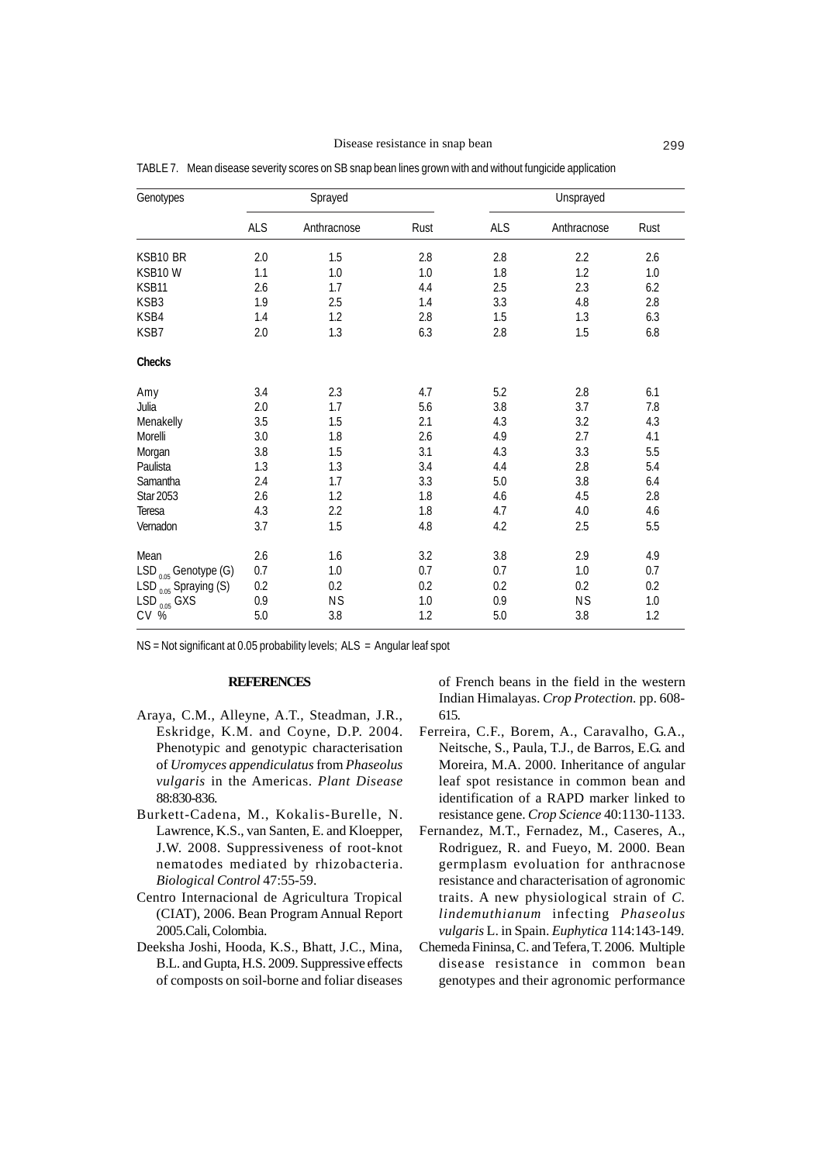#### Disease resistance in snap bean 299

| Genotypes                         | Sprayed |             |         | Unsprayed |             |         |
|-----------------------------------|---------|-------------|---------|-----------|-------------|---------|
|                                   | ALS     | Anthracnose | Rust    | ALS       | Anthracnose | Rust    |
| KSB10 BR                          | 2.0     | 1.5         | 2.8     | 2.8       | 2.2         | 2.6     |
| KSB10W                            | 1.1     | 1.0         | 1.0     | 1.8       | 1.2         | 1.0     |
| KSB11                             | 2.6     | 1.7         | 4.4     | 2.5       | 2.3         | 6.2     |
| KSB3                              | 1.9     | 2.5         | 1.4     | 3.3       | $4.8\,$     | 2.8     |
| KSB4                              | 1.4     | 1.2         | 2.8     | 1.5       | 1.3         | 6.3     |
| KSB7                              | 2.0     | 1.3         | 6.3     | 2.8       | 1.5         | 6.8     |
| Checks                            |         |             |         |           |             |         |
| Amy                               | 3.4     | 2.3         | 4.7     | 5.2       | 2.8         | 6.1     |
| Julia                             | 2.0     | 1.7         | 5.6     | 3.8       | 3.7         | 7.8     |
| Menakelly                         | 3.5     | 1.5         | 2.1     | 4.3       | 3.2         | 4.3     |
| Morelli                           | 3.0     | 1.8         | 2.6     | 4.9       | 2.7         | 4.1     |
| Morgan                            | 3.8     | 1.5         | 3.1     | 4.3       | 3.3         | 5.5     |
| Paulista                          | 1.3     | 1.3         | 3.4     | 4.4       | 2.8         | 5.4     |
| Samantha                          | 2.4     | 1.7         | 3.3     | 5.0       | 3.8         | 6.4     |
| <b>Star 2053</b>                  | 2.6     | 1.2         | 1.8     | 4.6       | 4.5         | 2.8     |
| Teresa                            | 4.3     | 2.2         | 1.8     | 4.7       | $4.0\,$     | 4.6     |
| Vernadon                          | 3.7     | 1.5         | 4.8     | 4.2       | 2.5         | 5.5     |
| Mean                              | 2.6     | 1.6         | 3.2     | 3.8       | 2.9         | 4.9     |
| $LSD_{0.05}$ Genotype (G)         | 0.7     | 1.0         | 0.7     | 0.7       | 1.0         | 0.7     |
| LSD $_{0.05}^{0.06}$ Spraying (S) | 0.2     | 0.2         | 0.2     | 0.2       | 0.2         | 0.2     |
|                                   | 0.9     | <b>NS</b>   | $1.0\,$ | 0.9       | <b>NS</b>   | $1.0\,$ |
| LSD $_{0.05}^{0.05}$ GXS<br>CV %  | 5.0     | 3.8         | 1.2     | $5.0\,$   | 3.8         | 1.2     |

TABLE 7. Mean disease severity scores on SB snap bean lines grown with and without fungicide application

NS = Not significant at 0.05 probability levels; ALS = Angular leaf spot

#### **REFERENCES**

- Araya, C.M., Alleyne, A.T., Steadman, J.R., Eskridge, K.M. and Coyne, D.P. 2004. Phenotypic and genotypic characterisation of *Uromyces appendiculatus* from *Phaseolus vulgaris* in the Americas. *Plant Disease* 88:830-836.
- Burkett-Cadena, M., Kokalis-Burelle, N. Lawrence, K.S., van Santen, E. and Kloepper, J.W. 2008. Suppressiveness of root-knot nematodes mediated by rhizobacteria. *Biological Control* 47:55-59.
- Centro Internacional de Agricultura Tropical (CIAT), 2006. Bean Program Annual Report 2005.Cali, Colombia.
- Deeksha Joshi, Hooda, K.S., Bhatt, J.C., Mina, B.L. and Gupta, H.S. 2009. Suppressive effects of composts on soil-borne and foliar diseases

of French beans in the field in the western Indian Himalayas. *Crop Protection.* pp. 608- 615.

- Ferreira, C.F., Borem, A., Caravalho, G.A., Neitsche, S., Paula, T.J., de Barros, E.G. and Moreira, M.A. 2000. Inheritance of angular leaf spot resistance in common bean and identification of a RAPD marker linked to resistance gene. *Crop Science* 40:1130-1133.
- Fernandez, M.T., Fernadez, M., Caseres, A., Rodriguez, R. and Fueyo, M. 2000. Bean germplasm evoluation for anthracnose resistance and characterisation of agronomic traits. A new physiological strain of *C. lindemuthianum* infecting *Phaseolus vulgaris* L. in Spain. *Euphytica* 114:143-149.
- Chemeda Fininsa, C. and Tefera, T. 2006. Multiple disease resistance in common bean genotypes and their agronomic performance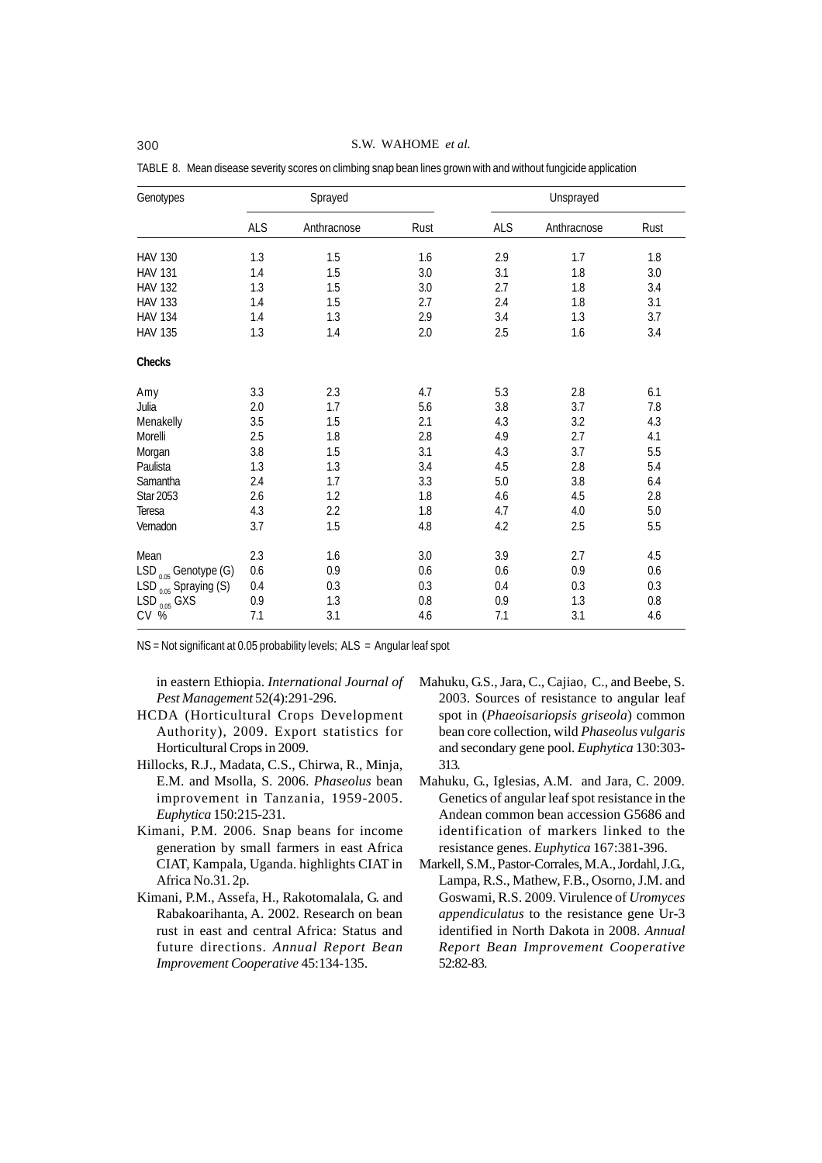| Genotypes                         | Sprayed |             |         |     | Unsprayed   |         |  |
|-----------------------------------|---------|-------------|---------|-----|-------------|---------|--|
|                                   | ALS     | Anthracnose | Rust    | ALS | Anthracnose | Rust    |  |
| <b>HAV 130</b>                    | 1.3     | 1.5         | 1.6     | 2.9 | 1.7         | 1.8     |  |
| <b>HAV 131</b>                    | 1.4     | 1.5         | 3.0     | 3.1 | 1.8         | 3.0     |  |
| <b>HAV 132</b>                    | 1.3     | 1.5         | 3.0     | 2.7 | 1.8         | 3.4     |  |
| <b>HAV 133</b>                    | 1.4     | 1.5         | 2.7     | 2.4 | 1.8         | 3.1     |  |
| <b>HAV 134</b>                    | 1.4     | 1.3         | 2.9     | 3.4 | 1.3         | 3.7     |  |
| <b>HAV 135</b>                    | 1.3     | 1.4         | 2.0     | 2.5 | 1.6         | 3.4     |  |
| Checks                            |         |             |         |     |             |         |  |
| Amy                               | 3.3     | 2.3         | 4.7     | 5.3 | 2.8         | 6.1     |  |
| Julia                             | 2.0     | 1.7         | 5.6     | 3.8 | 3.7         | 7.8     |  |
| Menakelly                         | 3.5     | 1.5         | 2.1     | 4.3 | 3.2         | 4.3     |  |
| Morelli                           | 2.5     | 1.8         | 2.8     | 4.9 | 2.7         | 4.1     |  |
| Morgan                            | 3.8     | 1.5         | 3.1     | 4.3 | 3.7         | 5.5     |  |
| Paulista                          | 1.3     | 1.3         | 3.4     | 4.5 | 2.8         | 5.4     |  |
| Samantha                          | 2.4     | 1.7         | 3.3     | 5.0 | 3.8         | 6.4     |  |
| Star 2053                         | 2.6     | 1.2         | 1.8     | 4.6 | 4.5         | 2.8     |  |
| Teresa                            | 4.3     | 2.2         | 1.8     | 4.7 | 4.0         | 5.0     |  |
| Vernadon                          | 3.7     | 1.5         | 4.8     | 4.2 | 2.5         | 5.5     |  |
| Mean                              | 2.3     | 1.6         | 3.0     | 3.9 | 2.7         | 4.5     |  |
| $LSD_{0.05}$ Genotype (G)         | 0.6     | 0.9         | 0.6     | 0.6 | 0.9         | 0.6     |  |
| LSD $_{0.05}^{0.05}$ Spraying (S) | 0.4     | 0.3         | 0.3     | 0.4 | 0.3         | 0.3     |  |
|                                   | 0.9     | 1.3         | $0.8\,$ | 0.9 | 1.3         | $0.8\,$ |  |
| LSD $_{0.05}$ GXS<br>CV %         | 7.1     | 3.1         | 4.6     | 7.1 | 3.1         | 4.6     |  |

TABLE 8. Mean disease severity scores on climbing snap bean lines grown with and without fungicide application

NS = Not significant at 0.05 probability levels; ALS = Angular leaf spot

in eastern Ethiopia. *International Journal of Pest Management* 52(4):291-296.

- HCDA (Horticultural Crops Development Authority), 2009. Export statistics for Horticultural Crops in 2009.
- Hillocks, R.J., Madata, C.S., Chirwa, R., Minja, E.M. and Msolla, S. 2006. *Phaseolus* bean improvement in Tanzania, 1959-2005. *Euphytica* 150:215-231.
- Kimani, P.M. 2006. Snap beans for income generation by small farmers in east Africa CIAT, Kampala, Uganda. highlights CIAT in Africa No.31. 2p.
- Kimani, P.M., Assefa, H., Rakotomalala, G. and Rabakoarihanta, A. 2002. Research on bean rust in east and central Africa: Status and future directions. *Annual Report Bean Improvement Cooperative* 45:134-135.
- Mahuku, G.S., Jara, C., Cajiao, C., and Beebe, S. 2003. Sources of resistance to angular leaf spot in (*Phaeoisariopsis griseola*) common bean core collection, wild *Phaseolus vulgaris* and secondary gene pool. *Euphytica* 130:303- 313.
- Mahuku, G., Iglesias, A.M. and Jara, C. 2009. Genetics of angular leaf spot resistance in the Andean common bean accession G5686 and identification of markers linked to the resistance genes. *Euphytica* 167:381-396.
- Markell, S.M., Pastor-Corrales, M.A., Jordahl, J.G., Lampa, R.S., Mathew, F.B., Osorno, J.M. and Goswami, R.S. 2009. Virulence of *Uromyces appendiculatus* to the resistance gene Ur-3 identified in North Dakota in 2008. *Annual Report Bean Improvement Cooperative* 52:82-83.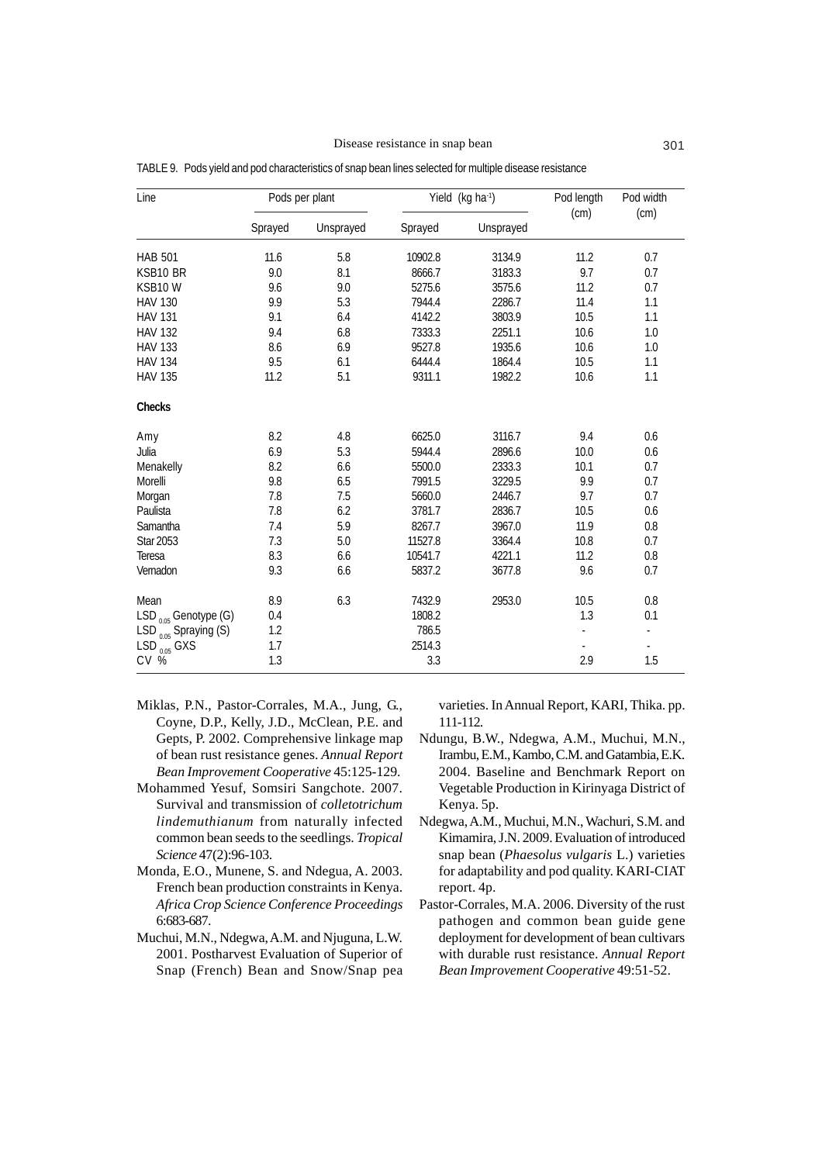| Line                        | Pods per plant |           | Yield (kg ha <sup>-1</sup> ) |           | Pod length<br>(cm) | Pod width<br>(cm) |
|-----------------------------|----------------|-----------|------------------------------|-----------|--------------------|-------------------|
|                             | Sprayed        | Unsprayed | Sprayed                      | Unsprayed |                    |                   |
| <b>HAB 501</b>              | 11.6           | 5.8       | 10902.8                      | 3134.9    | 11.2               | 0.7               |
| KSB10 BR                    | 9.0            | 8.1       | 8666.7                       | 3183.3    | 9.7                | 0.7               |
| KSB10W                      | 9.6            | 9.0       | 5275.6                       | 3575.6    | 11.2               | 0.7               |
| <b>HAV 130</b>              | 9.9            | 5.3       | 7944.4                       | 2286.7    | 11.4               | 1.1               |
| <b>HAV 131</b>              | 9.1            | 6.4       | 4142.2                       | 3803.9    | 10.5               | 1.1               |
| <b>HAV 132</b>              | 9.4            | 6.8       | 7333.3                       | 2251.1    | 10.6               | 1.0               |
| <b>HAV 133</b>              | 8.6            | 6.9       | 9527.8                       | 1935.6    | 10.6               | 1.0               |
| <b>HAV 134</b>              | 9.5            | 6.1       | 6444.4                       | 1864.4    | 10.5               | 1.1               |
| <b>HAV 135</b>              | 11.2           | 5.1       | 9311.1                       | 1982.2    | 10.6               | 1.1               |
| Checks                      |                |           |                              |           |                    |                   |
| Amy                         | 8.2            | 4.8       | 6625.0                       | 3116.7    | 9.4                | 0.6               |
| Julia                       | 6.9            | 5.3       | 5944.4                       | 2896.6    | 10.0               | 0.6               |
| Menakelly                   | 8.2            | 6.6       | 5500.0                       | 2333.3    | 10.1               | 0.7               |
| Morelli                     | 9.8            | 6.5       | 7991.5                       | 3229.5    | 9.9                | 0.7               |
| Morgan                      | 7.8            | 7.5       | 5660.0                       | 2446.7    | 9.7                | 0.7               |
| Paulista                    | 7.8            | 6.2       | 3781.7                       | 2836.7    | 10.5               | 0.6               |
| Samantha                    | 7.4            | 5.9       | 8267.7                       | 3967.0    | 11.9               | $0.8\,$           |
| <b>Star 2053</b>            | 7.3            | 5.0       | 11527.8                      | 3364.4    | 10.8               | 0.7               |
| Teresa                      | 8.3            | 6.6       | 10541.7                      | 4221.1    | 11.2               | 0.8               |
| Vernadon                    | 9.3            | 6.6       | 5837.2                       | 3677.8    | 9.6                | 0.7               |
| Mean                        | 8.9            | 6.3       | 7432.9                       | 2953.0    | 10.5               | 0.8               |
| $LSD_{0.05}$ Genotype (G)   | 0.4            |           | 1808.2                       |           | 1.3                | 0.1               |
| LSD $_{0.05}$ Spraying (S)  | 1.2            |           | 786.5                        |           |                    |                   |
| $LSD$ <sub>0.05</sub> $GXS$ | 1.7            |           | 2514.3                       |           |                    | $\frac{1}{2}$     |
| CV %                        | 1.3            |           | 3.3                          |           | 2.9                | 1.5               |

TABLE 9. Pods yield and pod characteristics of snap bean lines selected for multiple disease resistance

- Miklas, P.N., Pastor-Corrales, M.A., Jung, G., Coyne, D.P., Kelly, J.D., McClean, P.E. and Gepts, P. 2002. Comprehensive linkage map of bean rust resistance genes. *Annual Report Bean Improvement Cooperative* 45:125-129.
- Mohammed Yesuf, Somsiri Sangchote. 2007. Survival and transmission of *colletotrichum lindemuthianum* from naturally infected common bean seeds to the seedlings. *Tropical Science* 47(2):96-103.
- Monda, E.O., Munene, S. and Ndegua, A. 2003. French bean production constraints in Kenya. *Africa Crop Science Conference Proceedings* 6:683-687.
- Muchui, M.N., Ndegwa, A.M. and Njuguna, L.W. 2001. Postharvest Evaluation of Superior of Snap (French) Bean and Snow/Snap pea

varieties. In Annual Report, KARI, Thika. pp. 111-112.

- Ndungu, B.W., Ndegwa, A.M., Muchui, M.N., Irambu, E.M., Kambo, C.M. and Gatambia, E.K. 2004. Baseline and Benchmark Report on Vegetable Production in Kirinyaga District of Kenya. 5p.
- Ndegwa, A.M., Muchui, M.N., Wachuri, S.M. and Kimamira, J.N. 2009. Evaluation of introduced snap bean (*Phaesolus vulgaris* L.) varieties for adaptability and pod quality. KARI-CIAT report. 4p.
- Pastor-Corrales, M.A. 2006. Diversity of the rust pathogen and common bean guide gene deployment for development of bean cultivars with durable rust resistance. *Annual Report Bean Improvement Cooperative* 49:51-52.